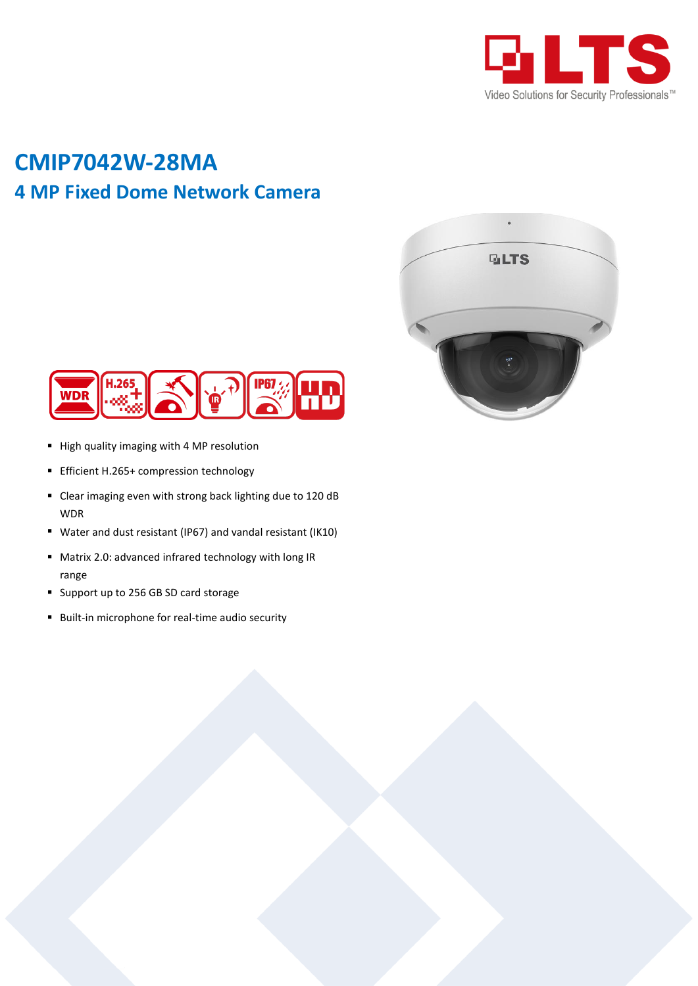

## **CMIP7042W-28MA 4 MP Fixed Dome Network Camera**





- High quality imaging with 4 MP resolution
- **Efficient H.265+ compression technology**
- Clear imaging even with strong back lighting due to 120 dB WDR
- Water and dust resistant (IP67) and vandal resistant (IK10)
- Matrix 2.0: advanced infrared technology with long IR range
- Support up to 256 GB SD card storage
- Built-in microphone for real-time audio security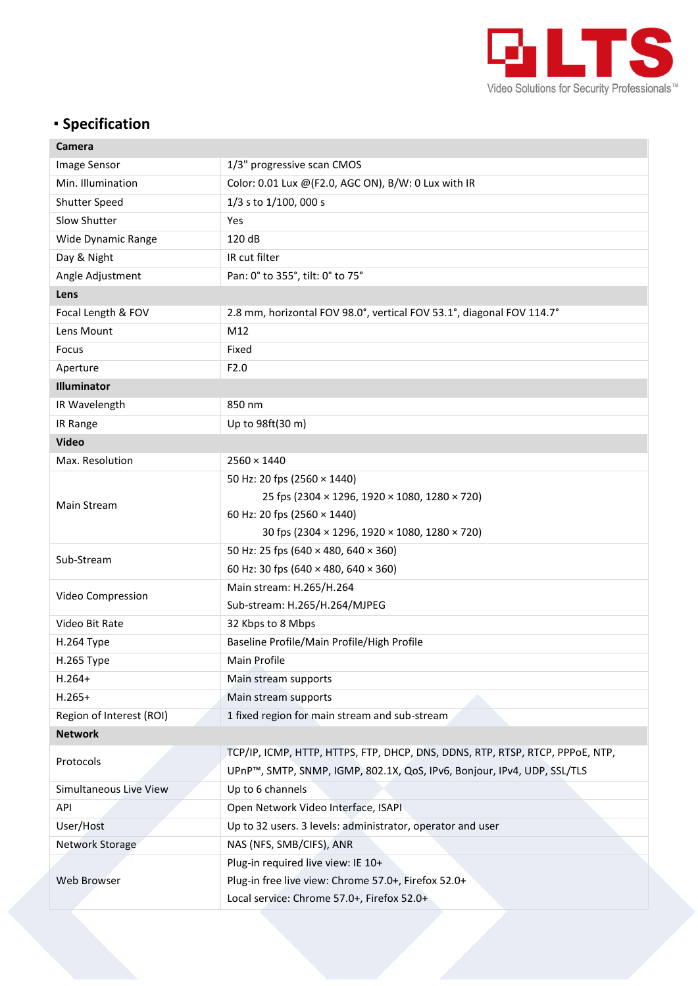

## **Specification**

| Camera                   |                                                                               |  |
|--------------------------|-------------------------------------------------------------------------------|--|
| Image Sensor             | 1/3" progressive scan CMOS                                                    |  |
| Min. Illumination        | Color: 0.01 Lux @ (F2.0, AGC ON), B/W: 0 Lux with IR                          |  |
| Shutter Speed            | 1/3 s to 1/100, 000 s                                                         |  |
| Slow Shutter             | Yes                                                                           |  |
| Wide Dynamic Range       | 120 dB                                                                        |  |
| Day & Night              | IR cut filter                                                                 |  |
| Angle Adjustment         | Pan: 0° to 355°, tilt: 0° to 75°                                              |  |
| Lens                     |                                                                               |  |
| Focal Length & FOV       | 2.8 mm, horizontal FOV 98.0°, vertical FOV 53.1°, diagonal FOV 114.7°         |  |
| Lens Mount               | M12                                                                           |  |
| Focus                    | Fixed                                                                         |  |
| Aperture                 | F2.0                                                                          |  |
| Illuminator              |                                                                               |  |
| IR Wavelength            | 850 nm                                                                        |  |
| IR Range                 | Up to 98ft(30 m)                                                              |  |
| <b>Video</b>             |                                                                               |  |
| Max. Resolution          | $2560 \times 1440$                                                            |  |
| Main Stream              | 50 Hz: 20 fps (2560 × 1440)                                                   |  |
|                          | 25 fps (2304 × 1296, 1920 × 1080, 1280 × 720)                                 |  |
|                          | 60 Hz: 20 fps (2560 × 1440)                                                   |  |
|                          | 30 fps (2304 × 1296, 1920 × 1080, 1280 × 720)                                 |  |
| Sub-Stream               | 50 Hz: 25 fps (640 × 480, 640 × 360)                                          |  |
|                          | 60 Hz: 30 fps (640 $\times$ 480, 640 $\times$ 360)                            |  |
| Video Compression        | Main stream: H.265/H.264                                                      |  |
|                          | Sub-stream: H.265/H.264/MJPEG                                                 |  |
| Video Bit Rate           | 32 Kbps to 8 Mbps                                                             |  |
| H.264 Type               | Baseline Profile/Main Profile/High Profile                                    |  |
| H.265 Type               | Main Profile                                                                  |  |
| $H.264+$                 | Main stream supports                                                          |  |
| $H.265+$                 | Main stream supports                                                          |  |
| Region of Interest (ROI) | 1 fixed region for main stream and sub-stream                                 |  |
| <b>Network</b>           |                                                                               |  |
| Protocols                | TCP/IP, ICMP, HTTP, HTTPS, FTP, DHCP, DNS, DDNS, RTP, RTSP, RTCP, PPPOE, NTP, |  |
|                          | UPnP™, SMTP, SNMP, IGMP, 802.1X, QoS, IPv6, Bonjour, IPv4, UDP, SSL/TLS       |  |
| Simultaneous Live View   | Up to 6 channels                                                              |  |
| API                      | Open Network Video Interface, ISAPI                                           |  |
| User/Host                | Up to 32 users. 3 levels: administrator, operator and user                    |  |
| Network Storage          | NAS (NFS, SMB/CIFS), ANR                                                      |  |
| Web Browser              | Plug-in required live view: IE 10+                                            |  |
|                          | Plug-in free live view: Chrome 57.0+, Firefox 52.0+                           |  |
|                          | Local service: Chrome 57.0+, Firefox 52.0+                                    |  |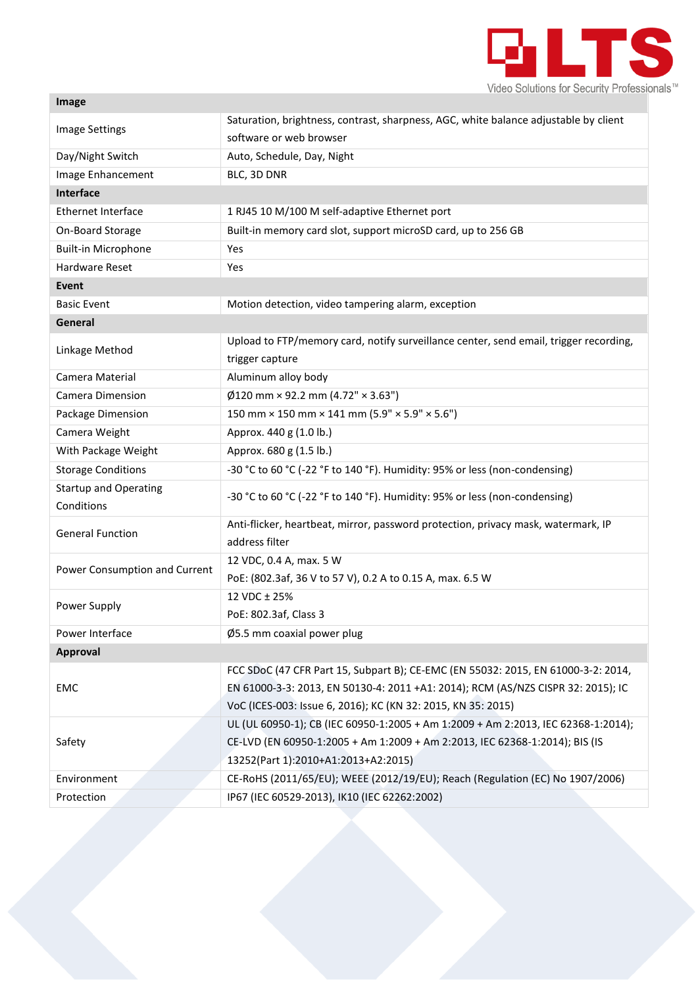

| Image                         |                                                                                       |  |
|-------------------------------|---------------------------------------------------------------------------------------|--|
| <b>Image Settings</b>         | Saturation, brightness, contrast, sharpness, AGC, white balance adjustable by client  |  |
|                               | software or web browser                                                               |  |
| Day/Night Switch              | Auto, Schedule, Day, Night                                                            |  |
| Image Enhancement             | BLC, 3D DNR                                                                           |  |
| Interface                     |                                                                                       |  |
| <b>Ethernet Interface</b>     | 1 RJ45 10 M/100 M self-adaptive Ethernet port                                         |  |
| On-Board Storage              | Built-in memory card slot, support microSD card, up to 256 GB                         |  |
| <b>Built-in Microphone</b>    | Yes                                                                                   |  |
| <b>Hardware Reset</b>         | Yes                                                                                   |  |
| <b>Event</b>                  |                                                                                       |  |
| <b>Basic Event</b>            | Motion detection, video tampering alarm, exception                                    |  |
| General                       |                                                                                       |  |
| Linkage Method                | Upload to FTP/memory card, notify surveillance center, send email, trigger recording, |  |
|                               | trigger capture                                                                       |  |
| Camera Material               | Aluminum alloy body                                                                   |  |
| <b>Camera Dimension</b>       | $\emptyset$ 120 mm × 92.2 mm (4.72" × 3.63")                                          |  |
| Package Dimension             | 150 mm × 150 mm × 141 mm (5.9" × 5.9" × 5.6")                                         |  |
| Camera Weight                 | Approx. 440 g (1.0 lb.)                                                               |  |
| With Package Weight           | Approx. 680 g (1.5 lb.)                                                               |  |
| <b>Storage Conditions</b>     | -30 °C to 60 °C (-22 °F to 140 °F). Humidity: 95% or less (non-condensing)            |  |
| <b>Startup and Operating</b>  | -30 °C to 60 °C (-22 °F to 140 °F). Humidity: 95% or less (non-condensing)            |  |
| Conditions                    |                                                                                       |  |
| <b>General Function</b>       | Anti-flicker, heartbeat, mirror, password protection, privacy mask, watermark, IP     |  |
|                               | address filter                                                                        |  |
| Power Consumption and Current | 12 VDC, 0.4 A, max. 5 W                                                               |  |
|                               | PoE: (802.3af, 36 V to 57 V), 0.2 A to 0.15 A, max. 6.5 W                             |  |
| Power Supply                  | 12 VDC ± 25%                                                                          |  |
|                               | PoE: 802.3af, Class 3                                                                 |  |
| Power Interface               | $\varnothing$ 5.5 mm coaxial power plug                                               |  |
| Approval                      |                                                                                       |  |
| EMC                           | FCC SDoC (47 CFR Part 15, Subpart B); CE-EMC (EN 55032: 2015, EN 61000-3-2: 2014,     |  |
|                               | EN 61000-3-3: 2013, EN 50130-4: 2011 +A1: 2014); RCM (AS/NZS CISPR 32: 2015); IC      |  |
|                               | VoC (ICES-003: Issue 6, 2016); KC (KN 32: 2015, KN 35: 2015)                          |  |
| Safety                        | UL (UL 60950-1); CB (IEC 60950-1:2005 + Am 1:2009 + Am 2:2013, IEC 62368-1:2014);     |  |
|                               | CE-LVD (EN 60950-1:2005 + Am 1:2009 + Am 2:2013, IEC 62368-1:2014); BIS (IS           |  |
|                               | 13252(Part 1):2010+A1:2013+A2:2015)                                                   |  |
| Environment                   | CE-RoHS (2011/65/EU); WEEE (2012/19/EU); Reach (Regulation (EC) No 1907/2006)         |  |
| Protection                    | IP67 (IEC 60529-2013), IK10 (IEC 62262:2002)                                          |  |